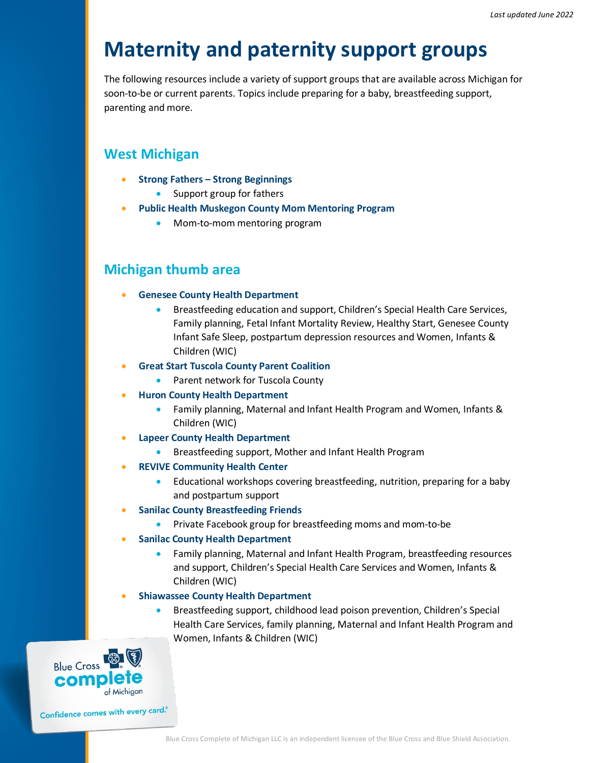# **Maternity and paternity support groups**

The following resources include a variety of support groups that are available across Michigan for soon-to-be or current parents. Topics include preparing for a baby, breastfeeding support, parenting and more.

## **West Michigan**

- **Strong Fathers – [Strong Beginnings](https://www.facebook.com/StrongDadsGR/)**
	- Support group for fathers
- **[Public Health Muskegon County Mom Mentoring Program](https://mommentormuskegon.org/)**
	- Mom-to-mom mentoring program

## **Michigan thumb area**

- **[Genesee County Health Department](https://www.gchd.us/services/)**
	- Breastfeeding education and support, Children's Special Health Care Services, Family planning, Fetal Infant Mortality Review, Healthy Start, Genesee County Infant Safe Sleep, postpartum depression resources and Women, Infants & Children (WIC)
- **[Great Start Tuscola County Parent Coalition](http://www.greatstarttuscola.org/parentcoalition/)**
	- Parent network for Tuscola County
- **[Huron County Health Department](https://www.huroncohealth.com/healthcenter)**
	- Family planning, Maternal and Infant Health Program and Women, Infants & Children (WIC)
- **[Lapeer County Health Department](https://lapeercountyweb.org/index.php/departments/county-health-department/wic)**
	- Breastfeeding support, Mother and Infant Health Program
- **[REVIVE Community Health Center](https://www.revivechc.org/)**
	- Educational workshops covering breastfeeding, nutrition, preparing for a baby and postpartum support
- **[Sanilac County Breastfeeding Friends](https://www.facebook.com/groups/824883195090242)**
	- Private Facebook group for breastfeeding moms and mom-to-be
- **[Sanilac County Health Department](https://www.sanilachealth.com/)**
	- Family planning, Maternal and Infant Health Program, breastfeeding resources and support, Children's Special Health Care Services and Women, Infants & Children (WIC)
- **[Shiawassee County Health Department](https://health.shiawassee.net/Personal-Health/Breastfeeding-Support-Services/)**
	- Breastfeeding support, childhood lead poison prevention, Children's Special Health Care Services, family planning, Maternal and Infant Health Program and Women, Infants & Children (WIC)



Confidence comes with every card.<sup>®</sup>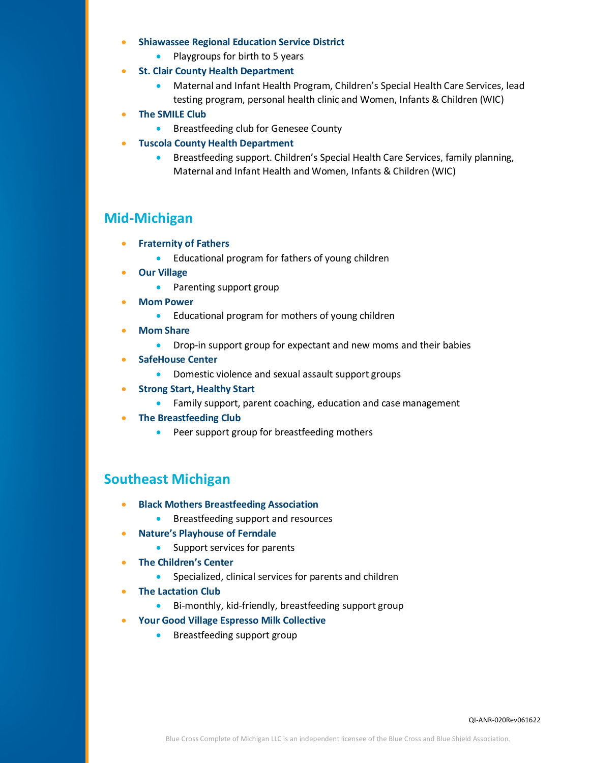- **[Shiawassee Regional Education Service District](https://www.sresd.org/early-childhood/play-to-learn-playgroups/)**
	- Playgroups for birth to 5 years
- **[St. Clair County Health Department](https://stclaircounty.org/PageBuilder/scchd/Offices/551?pageparent=534)**
	- Maternal and Infant Health Program, Children's Special Health Care Services, lead testing program, personal health clinic and Women, Infants & Children (WIC)
- **[The SMILE Club](https://www.gchd.us/clinics/breastfeedingsupport/smileclub/)**
	- Breastfeeding club for Genesee County
- **[Tuscola County Health Department](https://www.tchd.us/)**
	- Breastfeeding support. Children's Special Health Care Services, family planning, Maternal and Infant Health and Women, Infants & Children (WIC)

## **Mid-Michigan**

- **[Fraternity of Fathers](https://zerotothrive.org/strong-roots-programs/fraternity-of-fathers/)**
	- Educational program for fathers of young children
- **[Our Village](https://www.facebook.com/Our-Village-338520223491515/?ref=page_internal)**
	- Parenting support group
- **[Mom Power](https://zerotothrive.org/strong-roots-programs/mom-power/)**
	- Educational program for mothers of young children
- **[Mom Share](https://womenscentersemi.org/services/moms-and-infants/)**
	- Drop-in support group for expectant and new moms and their babies
- **[SafeHouse Center](https://www.safehousecenter.org/)**
	- Domestic violence and sexual assault support groups
- **[Strong Start, Healthy Start](https://hd.ingham.org/ForParents/HomeVisiting/StrongStart,HealthyStart.aspx)**
	- Family support, parent coaching, education and case management
- **[The Breastfeeding Club](https://cornerhealth.org/programs-and-classes/breastfeeding-club/)**
	- Peer support group for breastfeeding mothers

## **Southeast Michigan**

- **[Black Mothers Breastfeeding Association](https://blackmothersbreastfeeding.org/)**
	- Breastfeeding support and resources
- **[Nature's Playhouse of Ferndale](https://www.naturesplayhouse.com/free-support-services)**
	- Support services for parents
- **[The Children's Center](https://www.thechildrenscenter.com/)**
	- Specialized, clinical services for parents and children
- **[The Lactation Club](https://www.oakgov.com/health/information/breastfeeding/Documents/LB-Virtual%20Breastfeeding%20Support%20Group_New%20Link_Teams.pdf)**
	- Bi-monthly, kid-friendly, breastfeeding support group
- **[Your Good Village Espresso Milk Collective](https://www.yourgoodvillagecollective.org/)**
	- Breastfeeding support group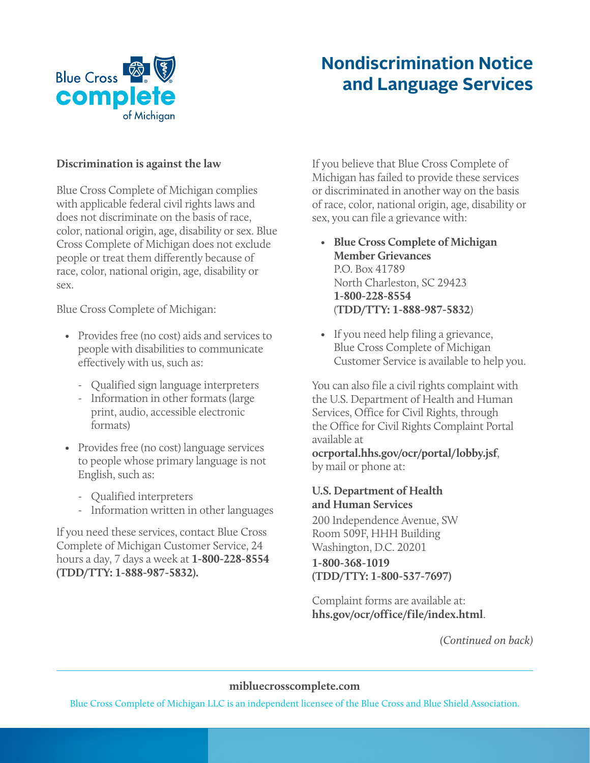

## **Nondiscrimination Notice and Language Services**

#### **Discrimination is against the law**

Blue Cross Complete of Michigan complies with applicable federal civil rights laws and does not discriminate on the basis of race, color, national origin, age, disability or sex. Blue Cross Complete of Michigan does not exclude people or treat them differently because of race, color, national origin, age, disability or sex.

Blue Cross Complete of Michigan:

- Provides free (no cost) aids and services to people with disabilities to communicate effectively with us, such as:
	- Qualified sign language interpreters
	- Information in other formats (large print, audio, accessible electronic formats)
- Provides free (no cost) language services to people whose primary language is not English, such as:
	- Qualified interpreters
	- Information written in other languages

If you need these services, contact Blue Cross Complete of Michigan Customer Service, 24 hours a day, 7 days a week at **1-800-228-8554 (TDD/TTY: 1-888-987-5832).**

If you believe that Blue Cross Complete of Michigan has failed to provide these services or discriminated in another way on the basis of race, color, national origin, age, disability or sex, you can file a grievance with:

- **Blue Cross Complete of Michigan Member Grievances** P.O. Box 41789 North Charleston, SC 29423 **1-800-228-8554** (**TDD/TTY: 1-888-987-5832**)
- If you need help filing a grievance, Blue Cross Complete of Michigan Customer Service is available to help you.

You can also file a civil rights complaint with the U.S. Department of Health and Human Services, Office for Civil Rights, through the Office for Civil Rights Complaint Portal available at

**ocrportal.hhs.gov/ocr/portal/lobby.jsf**, by mail or phone at:

#### **U.S. Department of Health and Human Services**

200 Independence Avenue, SW Room 509F, HHH Building Washington, D.C. 20201

#### **1-800-368-1019 (TDD/TTY: 1-800-537-7697)**

Complaint forms are available at: **hhs.gov/ocr/office/file/index.html**.

*(Continued on back)*

#### **mibluecrosscomplete.com**

Blue Cross Complete of Michigan LLC is an independent licensee of the Blue Cross and Blue Shield Association.